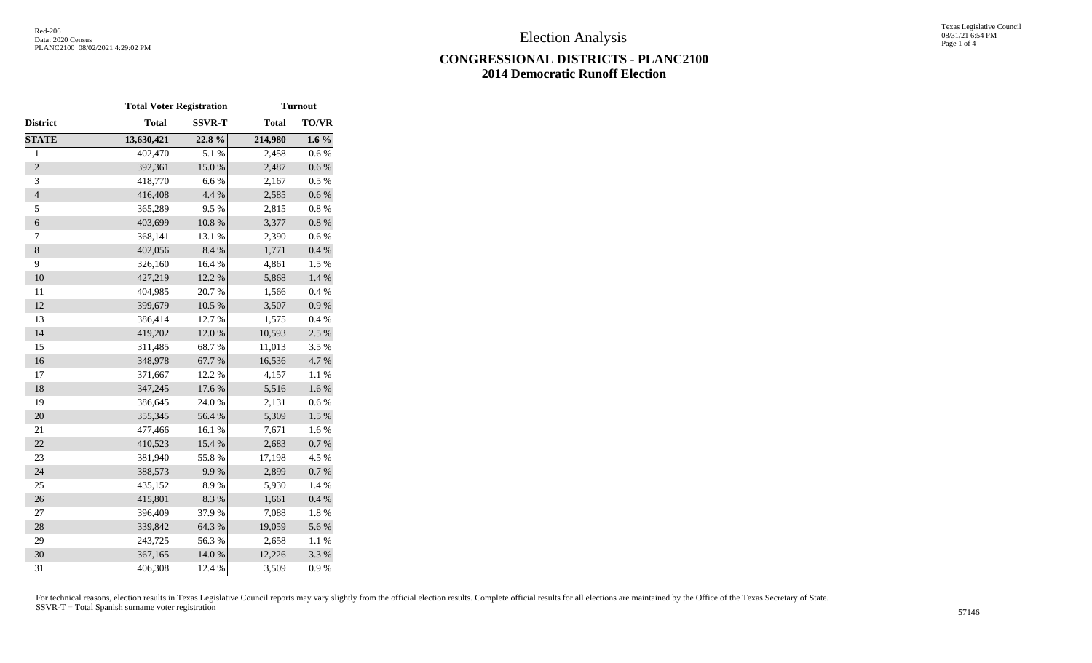## **CONGRESSIONAL DISTRICTS - PLANC2100 2014 Democratic Runoff Election**

|                | <b>Total Voter Registration</b> |               |              | <b>Turnout</b> |
|----------------|---------------------------------|---------------|--------------|----------------|
| District       | <b>Total</b>                    | <b>SSVR-T</b> | <b>Total</b> | TO/VR          |
| <b>STATE</b>   | 13,630,421                      | 22.8%         | 214,980      | $1.6\%$        |
| $\mathbf{1}$   | 402,470                         | 5.1%          | 2,458        | 0.6%           |
| $\overline{2}$ | 392,361                         | $15.0\ \%$    | 2,487        | $0.6\ \%$      |
| 3              | 418,770                         | 6.6%          | 2,167        | 0.5 %          |
| $\overline{4}$ | 416,408                         | 4.4 %         | 2,585        | $0.6\:\%$      |
| 5              | 365,289                         | 9.5%          | 2,815        | $0.8~\%$       |
| $\sqrt{6}$     | 403,699                         | $10.8~\%$     | 3,377        | $0.8~\%$       |
| 7              | 368,141                         | 13.1 %        | 2,390        | 0.6 %          |
| $8\,$          | 402,056                         | 8.4 %         | 1,771        | 0.4 %          |
| 9              | 326,160                         | 16.4 %        | 4,861        | 1.5 %          |
| 10             | 427,219                         | 12.2 %        | 5,868        | $1.4~\%$       |
| 11             | 404,985                         | 20.7%         | 1,566        | 0.4 %          |
| 12             | 399,679                         | 10.5 %        | 3,507        | 0.9 %          |
| 13             | 386,414                         | 12.7 %        | 1,575        | 0.4 %          |
| 14             | 419,202                         | $12.0\ \%$    | 10,593       | 2.5 %          |
| 15             | 311,485                         | 68.7%         | 11,013       | 3.5 %          |
| 16             | 348,978                         | 67.7%         | 16,536       | 4.7 %          |
| 17             | 371,667                         | 12.2 %        | 4,157        | $1.1~\%$       |
| 18             | 347,245                         | 17.6 %        | 5,516        | $1.6\ \%$      |
| 19             | 386,645                         | 24.0%         | 2,131        | $0.6\ \%$      |
| 20             | 355,345                         | 56.4 %        | 5,309        | 1.5 %          |
| 21             | 477,466                         | 16.1%         | 7,671        | 1.6%           |
| 22             | 410,523                         | 15.4 %        | 2,683        | 0.7 %          |
| 23             | 381,940                         | 55.8%         | 17,198       | 4.5 %          |
| 24             | 388,573                         | 9.9%          | 2,899        | 0.7 %          |
| 25             | 435,152                         | 8.9%          | 5,930        | 1.4 %          |
| 26             | 415,801                         | 8.3%          | 1,661        | 0.4 %          |
| $27\,$         | 396,409                         | 37.9%         | 7,088        | $1.8\ \%$      |
| 28             | 339,842                         | 64.3 %        | 19,059       | 5.6 %          |
| 29             | 243,725                         | 56.3%         | 2,658        | 1.1 %          |
| 30             | 367,165                         | 14.0 %        | 12,226       | 3.3 %          |
| 31             | 406,308                         | 12.4 %        | 3,509        | 0.9 %          |

For technical reasons, election results in Texas Legislative Council reports may vary slightly from the official election results. Complete official results for all elections are maintained by the Office of the Texas Secre SSVR-T = Total Spanish surname voter registration <sup>57146</sup>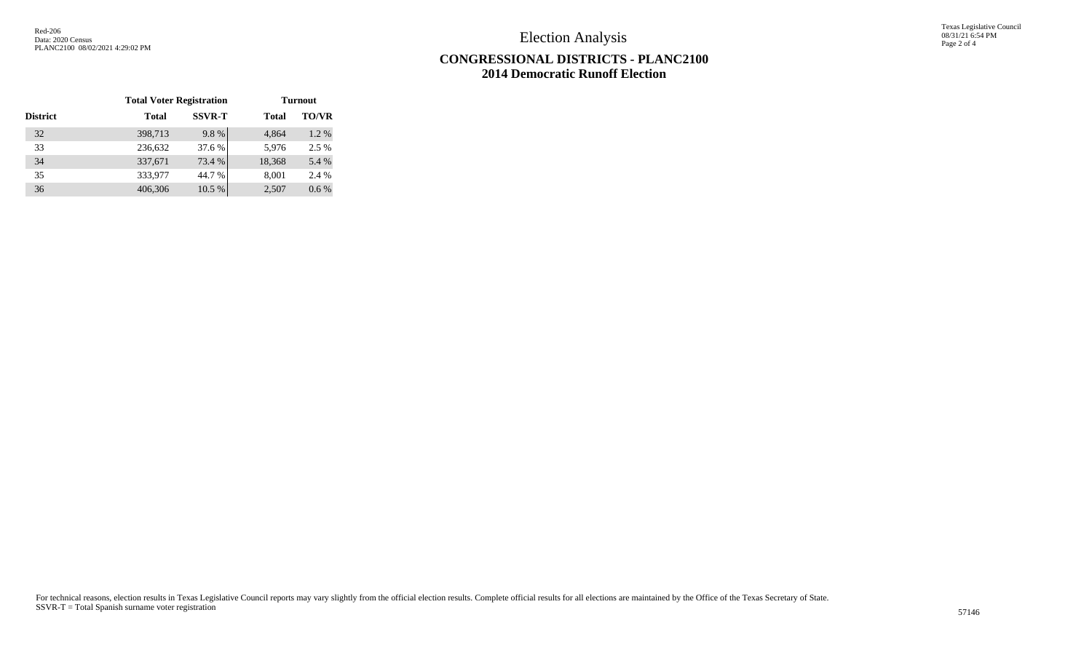Election Analysis

Texas Legislative Council 08/31/21 6:54 PM Page 2 of 4

## **CONGRESSIONAL DISTRICTS - PLANC2100 2014 Democratic Runoff Election**

|                 | <b>Total Voter Registration</b> |               | <b>Turnout</b> |              |  |
|-----------------|---------------------------------|---------------|----------------|--------------|--|
| <b>District</b> | <b>Total</b>                    | <b>SSVR-T</b> | <b>Total</b>   | <b>TO/VR</b> |  |
| 32              | 398,713                         | 9.8%          | 4.864          | 1.2 %        |  |
| 33              | 236,632                         | 37.6 %        | 5,976          | 2.5 %        |  |
| 34              | 337,671                         | 73.4 %        | 18,368         | 5.4 %        |  |
| 35              | 333,977                         | 44.7 %        | 8,001          | 2.4 %        |  |
| 36              | 406,306                         | 10.5 %        | 2,507          | $0.6\%$      |  |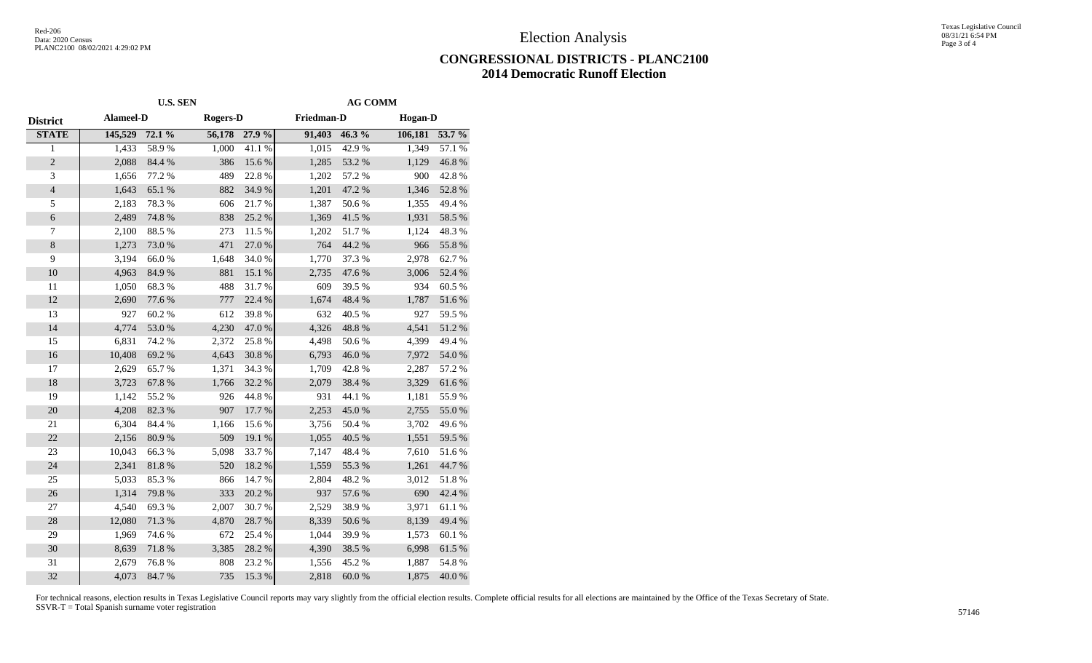Election Analysis

## **CONGRESSIONAL DISTRICTS - PLANC2100 2014 Democratic Runoff Election**

| <b>U.S. SEN</b>  |        |        |                 | <b>AG COMM</b> |            |         |                |  |
|------------------|--------|--------|-----------------|----------------|------------|---------|----------------|--|
| <b>Alameel-D</b> |        |        | <b>Rogers-D</b> |                | Friedman-D |         | <b>Hogan-D</b> |  |
| 145,529          | 72.1 % | 56,178 | 27.9 %          | 91,403         | 46.3 %     | 106,181 | 53.7 %         |  |
| 1,433            | 58.9%  | 1,000  | 41.1%           | 1,015          | 42.9%      | 1,349   | 57.1 %         |  |
| 2,088            | 84.4 % | 386    | 15.6%           | 1,285          | 53.2 %     | 1,129   | 46.8%          |  |
| 1,656            | 77.2 % | 489    | 22.8%           | 1,202          | 57.2 %     | 900     | 42.8%          |  |
| 1,643            | 65.1 % | 882    | 34.9%           | 1,201          | 47.2 %     | 1,346   | 52.8 %         |  |
| 2,183            | 78.3%  | 606    | 21.7%           | 1,387          | 50.6%      | 1,355   | 49.4%          |  |
| 2,489            | 74.8 % | 838    | 25.2 %          | 1,369          | 41.5 %     | 1,931   | 58.5 %         |  |
| 2,100            | 88.5 % | 273    | 11.5 %          | 1,202          | 51.7%      | 1,124   | 48.3%          |  |
| 1,273            | 73.0%  | 471    | 27.0%           | 764            | 44.2 %     | 966     | 55.8 %         |  |
| 3,194            | 66.0%  | 1,648  | 34.0%           | 1,770          | 37.3 %     | 2,978   | 62.7%          |  |
| 4,963            | 84.9%  | 881    | 15.1 %          | 2,735          | 47.6%      | 3,006   | 52.4 %         |  |
| 1,050            | 68.3%  | 488    | 31.7%           | 609            | 39.5 %     | 934     | 60.5%          |  |
| 2,690            | 77.6 % | 777    | 22.4 %          | 1,674          | 48.4 %     | 1,787   | 51.6 %         |  |
| 927              | 60.2%  | 612    | 39.8%           | 632            | 40.5 %     | 927     | 59.5 %         |  |
| 4,774            | 53.0%  | 4,230  | 47.0%           | 4,326          | 48.8%      | 4,541   | 51.2 %         |  |
| 6,831            | 74.2 % | 2,372  | 25.8%           | 4,498          | 50.6%      | 4,399   | 49.4%          |  |
| 10,408           | 69.2 % | 4,643  | 30.8 %          | 6,793          | 46.0%      | 7,972   | 54.0 %         |  |
| 2,629            | 65.7%  | 1,371  | 34.3 %          | 1,709          | 42.8%      | 2,287   | 57.2 %         |  |
| 3,723            | 67.8%  | 1,766  | 32.2 %          | 2,079          | 38.4 %     | 3,329   | 61.6%          |  |
| 1,142            | 55.2 % | 926    | 44.8%           | 931            | 44.1 %     | 1,181   | 55.9%          |  |
| 4,208            | 82.3 % | 907    | 17.7 %          | 2,253          | 45.0%      | 2,755   | 55.0 %         |  |
| 6,304            | 84.4 % | 1,166  | 15.6%           | 3,756          | 50.4%      | 3,702   | 49.6%          |  |
| 2,156            | 80.9%  | 509    | 19.1 %          | 1,055          | 40.5 %     | 1,551   | 59.5 %         |  |
| 10,043           | 66.3%  | 5,098  | 33.7%           | 7,147          | 48.4%      | 7,610   | 51.6%          |  |
| 2,341            | 81.8%  | 520    | 18.2%           | 1,559          | 55.3 %     | 1,261   | 44.7 %         |  |
| 5,033            | 85.3%  | 866    | 14.7%           | 2,804          | 48.2%      | 3,012   | 51.8%          |  |
| 1,314            | 79.8%  | 333    | 20.2 %          | 937            | 57.6 %     | 690     | 42.4 %         |  |
| 4,540            | 69.3%  | 2,007  | 30.7%           | 2,529          | 38.9%      | 3,971   | 61.1%          |  |
| 12,080           | 71.3%  | 4,870  | 28.7%           | 8,339          | 50.6%      | 8,139   | 49.4 %         |  |
| 1,969            | 74.6 % | 672    | 25.4 %          | 1,044          | 39.9%      | 1,573   | 60.1%          |  |
| 8,639            | 71.8%  | 3,385  | 28.2 %          | 4,390          | 38.5 %     | 6,998   | 61.5 %         |  |
| 2,679            | 76.8%  | 808    | 23.2 %          | 1,556          | 45.2%      | 1,887   | 54.8%          |  |
| 4,073            | 84.7%  | 735    | 15.3 %          | 2,818          | 60.0%      | 1,875   | 40.0%          |  |
|                  |        |        |                 |                |            |         |                |  |

For technical reasons, election results in Texas Legislative Council reports may vary slightly from the official election results. Complete official results for all elections are maintained by the Office of the Texas Secre SSVR-T = Total Spanish surname voter registration <sup>57146</sup>